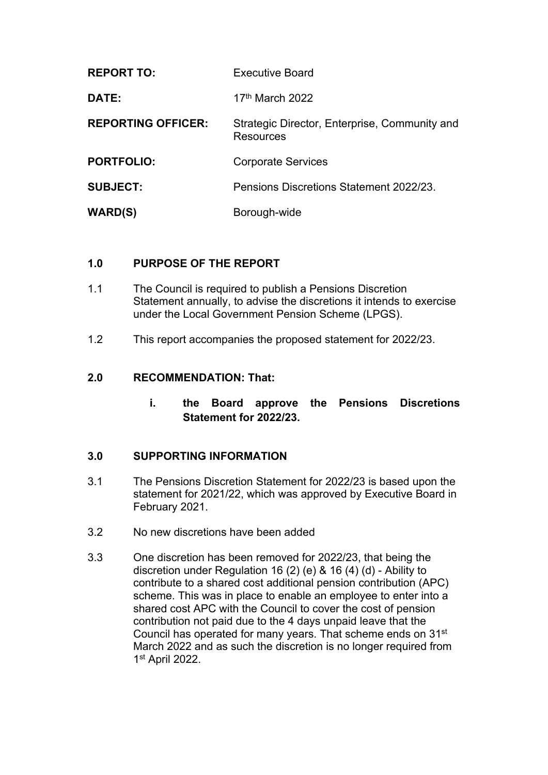| <b>REPORT TO:</b>         | <b>Executive Board</b>                                     |
|---------------------------|------------------------------------------------------------|
| DATE:                     | 17 <sup>th</sup> March 2022                                |
| <b>REPORTING OFFICER:</b> | Strategic Director, Enterprise, Community and<br>Resources |
| <b>PORTFOLIO:</b>         | <b>Corporate Services</b>                                  |
| <b>SUBJECT:</b>           | Pensions Discretions Statement 2022/23.                    |
| <b>WARD(S)</b>            | Borough-wide                                               |

## **1.0 PURPOSE OF THE REPORT**

- 1.1 The Council is required to publish a Pensions Discretion Statement annually, to advise the discretions it intends to exercise under the Local Government Pension Scheme (LPGS).
- 1.2 This report accompanies the proposed statement for 2022/23.

#### **2.0 RECOMMENDATION: That:**

**i. the Board approve the Pensions Discretions Statement for 2022/23.**

## **3.0 SUPPORTING INFORMATION**

- 3.1 The Pensions Discretion Statement for 2022/23 is based upon the statement for 2021/22, which was approved by Executive Board in February 2021.
- 3.2 No new discretions have been added
- 3.3 One discretion has been removed for 2022/23, that being the discretion under Regulation 16 (2) (e) & 16 (4) (d) - Ability to contribute to a shared cost additional pension contribution (APC) scheme. This was in place to enable an employee to enter into a shared cost APC with the Council to cover the cost of pension contribution not paid due to the 4 days unpaid leave that the Council has operated for many years. That scheme ends on 31st March 2022 and as such the discretion is no longer required from 1 st April 2022.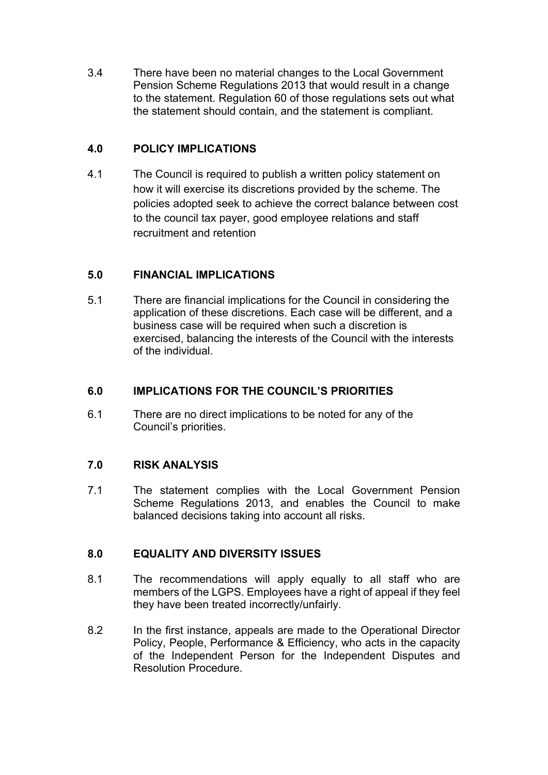3.4 There have been no material changes to the Local Government Pension Scheme Regulations 2013 that would result in a change to the statement. Regulation 60 of those regulations sets out what the statement should contain, and the statement is compliant.

# **4.0 POLICY IMPLICATIONS**

4.1 The Council is required to publish a written policy statement on how it will exercise its discretions provided by the scheme. The policies adopted seek to achieve the correct balance between cost to the council tax payer, good employee relations and staff recruitment and retention

# **5.0 FINANCIAL IMPLICATIONS**

5.1 There are financial implications for the Council in considering the application of these discretions. Each case will be different, and a business case will be required when such a discretion is exercised, balancing the interests of the Council with the interests of the individual.

# **6.0 IMPLICATIONS FOR THE COUNCIL'S PRIORITIES**

6.1 There are no direct implications to be noted for any of the Council's priorities.

# **7.0 RISK ANALYSIS**

7.1 The statement complies with the Local Government Pension Scheme Regulations 2013, and enables the Council to make balanced decisions taking into account all risks.

## **8.0 EQUALITY AND DIVERSITY ISSUES**

- 8.1 The recommendations will apply equally to all staff who are members of the LGPS. Employees have a right of appeal if they feel they have been treated incorrectly/unfairly.
- 8.2 In the first instance, appeals are made to the Operational Director Policy, People, Performance & Efficiency, who acts in the capacity of the Independent Person for the Independent Disputes and Resolution Procedure.